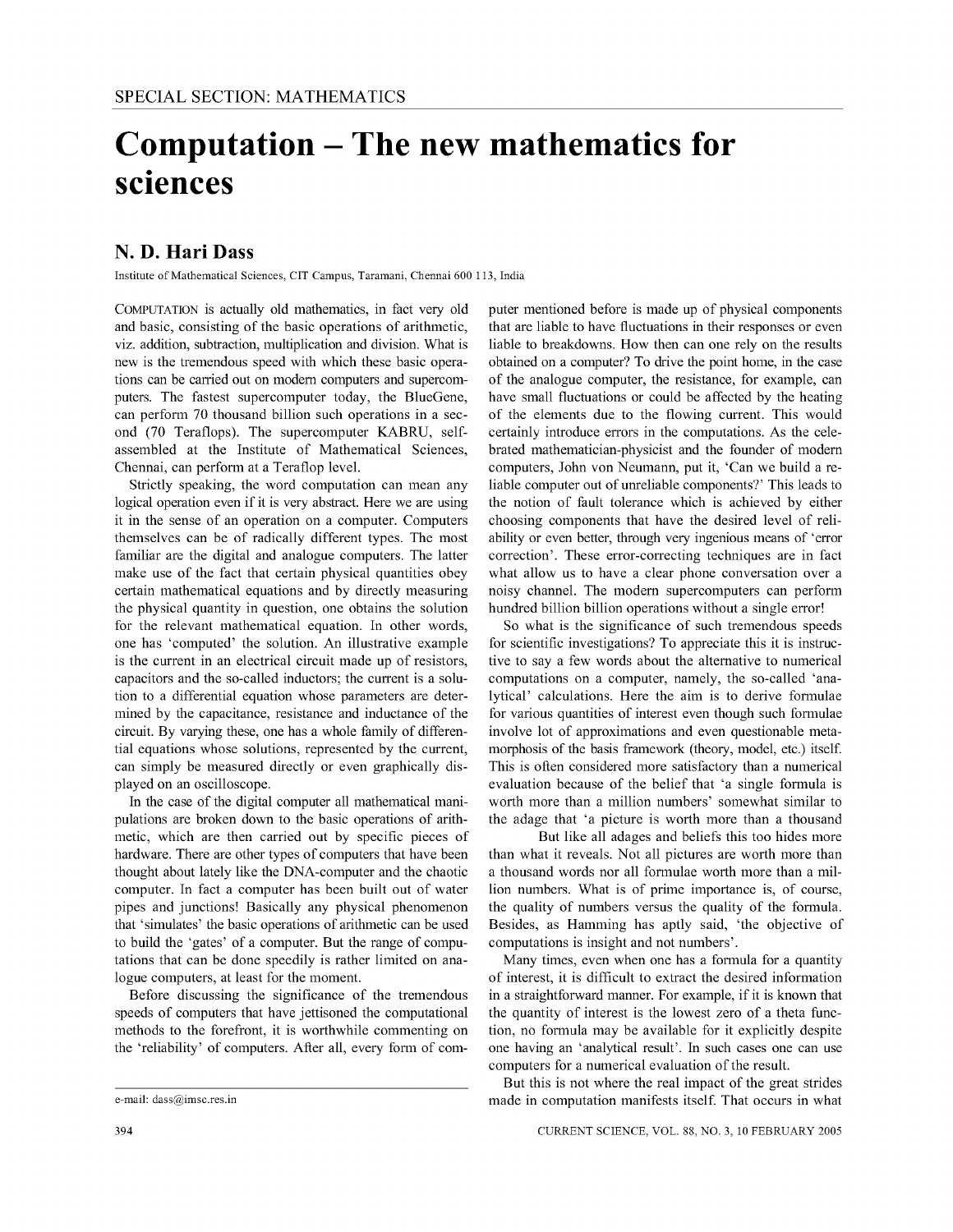## **Computation - The new mathematics for**  • **sCiences**

## **N. D. Hari Dass**

Institute of Mathematical Sciences, CIT Campus, Taramani, Chennai 600 113, India

COMPUTATION is actually old mathematics, in fact very old and basic, consisting of the basic operations of arithmetic, viz, addition, subtraction, multiplication and division, What is new is the tremendous speed with which these basic operations can be carried out on modem computers and supercomputers, The fastest supercomputer today, the BlueGene, can perform 70 thousand billion such operations in a second (70 Teraflops), The supercomputer KABRU, selfassembled at the Institute of Mathematical Sciences, Chennai, can perform at a Teraflop leveL

Strictly speaking, the word computation can mean any logical operation even if it is very abstract. Here we are using it in the sense of an operation on a computer, Computers themselves can be of radically different types, The most familiar are the digital and analogue computers, The latter make use of the fact that certain physical quantities obey certain mathematical equations and by directly measuring the physical quantity in question, one obtains the solution for the relevant mathematical equation, In other words, one has 'computed' the solution, An illustrative example is the current in an electrical circuit made up of resistors, capacitors and the so-called inductors; the current is a solution to a differential equation whose parameters are determined by the capacitance, resistance and inductance of the circuit. By varying these, one has a whole family of differential equations whose solutions, represented by the current, can simply be measured directly or even graphically displayed on an oscilloscope,

In the case of the digital computer all mathematical manipulations are broken down to the basic operations of arithmetic, which are then carried out by specific pieces of hardware, There are other types of computers that have been thought about lately like the DNA-computer and the chaotic computer, In fact a computer has been built out of water pipes and junctions! Basically any physical phenomenon that 'simulates' the basic operations of arithmetic can be used to build the 'gates' of a computer, But the range of computations that can be done speedily is rather limited on analogue computers, at least for the moment

Before discussing the significance of the tremendous speeds of computers that have jettisoned the computational methods to the forefront, it is worthwhile commenting on the 'reliability' of computers, After all, every form of computer mentioned before is made up of physical components that are liable to have fluctuations in their responses or even liable to breakdowns. How then can one rely on the results obtained on a computer? To drive the point home, in the case of the analogue computer, the resistance, for example, can have small fluctuations or could be affected by the heating of the elements due to the flowing current. This would certainly introduce errors in the computations. As the celebrated mathematician-physicist and the founder of modem computers, John von Neumann, put it, 'Can we build a reliable computer out of unreliable components?' This leads to the notion of fault tolerance which is achieved by either choosing components that have the desired level of reliability or even better, through very ingenious means of 'error correction'. These error-correcting techniques are in fact what allow us to have a clear phone conversation over a noisy channeL The modem supercomputers can perform hundred billion billion operations without a single error!

So what is the significance of such tremendous speeds for scientific investigations? To appreciate this it is instructive to say a few words about the alternative to numerical computations on a computer, namely, the so-called 'analytical' calculations. Here the aim is to derive formulae for various quantities of interest even though such formulae involve lot of approximations and even questionable metamorphosis of the basis framework (theory, model, etc.) itself. This is often considered more satisfactory than a numerical evaluation because of the belief that 'a single formula is worth more than a million numbers' somewhat similar to the adage that 'a picture is worth more than a thousand

But like all adages and beliefs this too hides more than what it reveals. Not all pictures are worth more than a thousand words nor all formulae worth more than a million numbers. What is of prime importance is, of course, the quality of numbers versus the quality of the formula. Besides, as Hamming has aptly said, 'the objective of computations is insight and not numbers'.

Many times, even when one has a formula for a quantity of interest, it is difficult to extract the desired information in a straightforward manner, For example, if it is known that the quantity of interest is the lowest zero of a theta function, no formula may be available for it explicitly despite one having an 'analytical result'. In such cases one can use computers for a numerical evaluation of the result

But this is not where the real impact of the great strides made in computation manifests itself. That occurs in what

e-mail: dass@imsc.res.in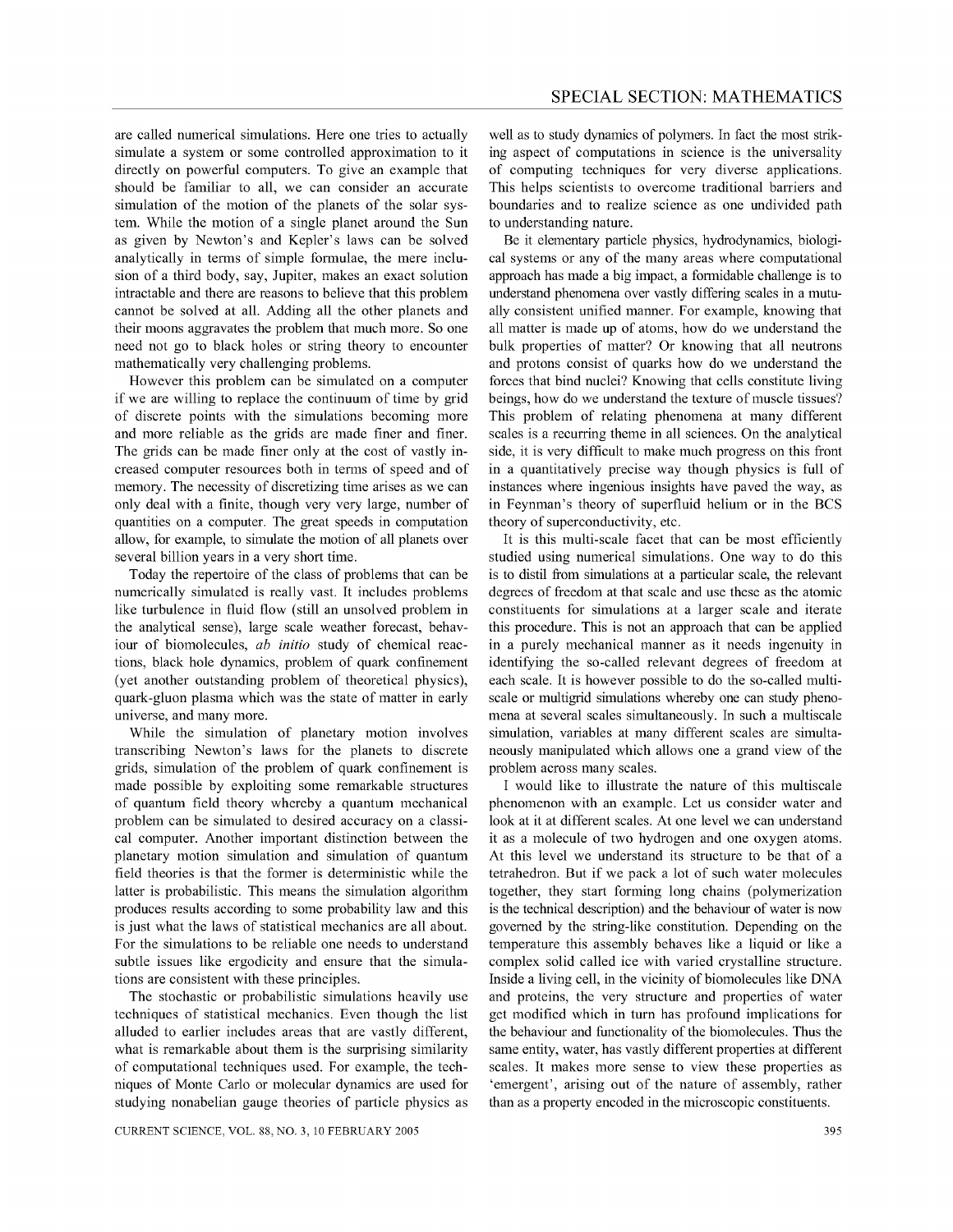are called numerical simulations. Here one tries to actually simulate a system or some controlled approximation to it directly on powerful computers. To give an example that should be familiar to all, we can consider an accurate simulation of the motion of the planets of the solar system. While the motion of a single planet around the Sun as given by Newton's and Kepler's laws can be solved analytically in terms of simple formulae, the mere inclusion of a third body, say, Jupiter, makes an exact solution intractable and there are reasons to believe that this problem cannot be solved at all. Adding all the other planets and their moons aggravates the problem that much more. So one need not go to black holes or string theory to encounter mathematically very challenging problems.

However this problem can be simulated on a computer if we are willing to replace the continuum of time by grid of discrete points with the simulations becoming more and more reliable as the grids are made finer and finer. The grids can be made finer only at the cost of vastly increased computer resources both in terms of speed and of memory. The necessity of discretizing time arises as we can only deal with a finite, though very very large, number of quantities on a computer. The great speeds in computation allow, for example, to simulate the motion of all planets over several billion years in a very short time.

Today the repertoire of the class of problems that can be numerically simulated is really vast. It includes problems like turbulence in fluid flow (still an unsolved problem in the analytical sense), large scale weather forecast, behaviour of biomolecules, *ab initio* study of chemical reactions, black hole dynamics, problem of quark confinement (yet another outstanding problem of theoretical physics), quark-gluon plasma which was the state of matter in early universe, and many more.

While the simulation of planetary motion involves transcribing Newton's laws for the planets to discrete grids, simulation of the problem of quark confinement is made possible by exploiting some remarkable structures of quantum field theory whereby a quantum mechanical problem can be simulated to desired accuracy on a classical computer. Another important distinction between the planetary motion simulation and simulation of quantum field theories is that the former is deterministic while the latter is probabilistic. This means the simulation algorithm produces results according to some probability law and this is just what the laws of statistical mechanics are all about. For the simulations to be reliable one needs to understand subtle issues like ergodicity and ensure that the simulations are consistent with these principles.

The stochastic or probabilistic simulations heavily use techniques of statistical mechanics. Even though the list alluded to earlier includes areas that are vastly different, what is remarkable about them is the surprising similarity of computational techniques used. For example, the techniques of Monte Carlo or molecular dynamics are used for studying nonabelian gauge theories of particle physics as

well as to study dynamics of polymers. In fact the most striking aspect of computations in science is the universality of computing techniques for very diverse applications. This helps scientists to overcome traditional barriers and boundaries and to realize science as one undivided path to understanding nature.

Be it elementary particle physics, hydrodynamics, biological systems or any of the many areas where computational approach has made a big impact, a formidable challenge is to understand phenomena over vastly differing scales in a mutually consistent unified manner. For example, knowing that all matter is made up of atoms, how do we understand the bulk properties of matter? Or knowing that all neutrons and protons consist of quarks how do we understand the forces that bind nuclei? Knowing that cells constitute living beings, how do we understand the texture of muscle tissues? This problem of relating phenomena at many different scales is a recurring theme in all sciences. On the analytical side, it is very difficult to make much progress on this front in a quantitatively precise way though physics is full of instances where ingenious insights have paved the way, as in Feynman's theory of superfluid helium or in the BCS theory of superconductivity, etc.

It is this multi-scale facet that can be most efficiently studied using numerical simulations. One way to do this is to distil from simulations at a particular scale, the relevant degrees of freedom at that scale and use these as the atomic constituents for simulations at a larger scale and iterate this procedure. This is not an approach that can be applied in a purely mechanical manner as it needs ingenuity in identifying the so-called relevant degrees of freedom at each scale. It is however possible to do the so-called multiscale or multigrid simulations whereby one can study phenomena at several scales simultaneously. In such a multiscale simulation, variables at many different scales are simultaneously manipulated which allows one a grand view of the problem across many scales.

I would like to illustrate the nature of this multiscale phenomenon with an example. Let us consider water and look at it at different scales. At one level we can understand it as a molecule of two hydrogen and one oxygen atoms. At this level we understand its structure to be that of a tetrahedron. But if we pack a lot of such water molecules together, they start forming long chains (polymerization is the technical description) and the behaviour of water is now governed by the string-like constitution. Depending on the temperature this assembly behaves like a liquid or like a complex solid called ice with varied crystalline structure. Inside a living cell, in the vicinity of biomolecules like DNA and proteins, the very structure and properties of water get modified which in tum has profound implications for the behaviour and functionality of the biomolecules. Thus the same entity, water, has vastly different properties at different scales. It makes more sense to view these properties as 'emergent', arising out of the nature of assembly, rather than as a property encoded in the microscopic constituents.